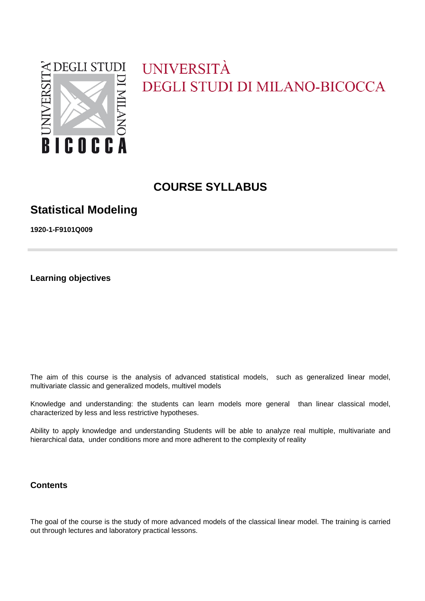

# UNIVERSITÀ **DEGLI STUDI DI MILANO-BICOCCA**

# **COURSE SYLLABUS**

# **Statistical Modeling**

**1920-1-F9101Q009**

**Learning objectives**

The aim of this course is the analysis of advanced statistical models, such as generalized linear model, multivariate classic and generalized models, multivel models

Knowledge and understanding: the students can learn models more general than linear classical model, characterized by less and less restrictive hypotheses.

Ability to apply knowledge and understanding Students will be able to analyze real multiple, multivariate and hierarchical data, under conditions more and more adherent to the complexity of reality

### **Contents**

The goal of the course is the study of more advanced models of the classical linear model. The training is carried out through lectures and laboratory practical lessons.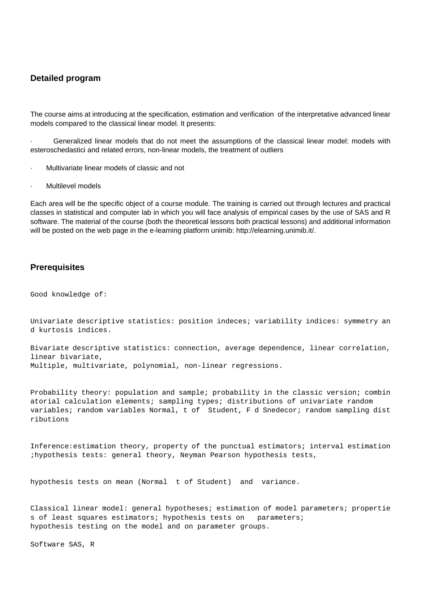#### **Detailed program**

The course aims at introducing at the specification, estimation and verification of the interpretative advanced linear models compared to the classical linear model. It presents:

Generalized linear models that do not meet the assumptions of the classical linear model: models with esteroschedastici and related errors, non-linear models, the treatment of outliers

- · Multivariate linear models of classic and not
- Multilevel models

Each area will be the specific object of a course module. The training is carried out through lectures and practical classes in statistical and computer lab in which you will face analysis of empirical cases by the use of SAS and R software. The material of the course (both the theoretical lessons both practical lessons) and additional information will be posted on the web page in the e-learning platform unimib: http://elearning.unimib.it/.

#### **Prerequisites**

Good knowledge of:

Univariate descriptive statistics: position indeces; variability indices: symmetry an d kurtosis indices.

Bivariate descriptive statistics: connection, average dependence, linear correlation, linear bivariate, Multiple, multivariate, polynomial, non-linear regressions.

Probability theory: population and sample; probability in the classic version; combin atorial calculation elements; sampling types; distributions of univariate random variables; random variables Normal, t of Student, F d Snedecor; random sampling dist ributions

Inference:estimation theory, property of the punctual estimators; interval estimation ;hypothesis tests: general theory, Neyman Pearson hypothesis tests,

hypothesis tests on mean (Normal t of Student) and variance.

Classical linear model: general hypotheses; estimation of model parameters; propertie s of least squares estimators; hypothesis tests on parameters; hypothesis testing on the model and on parameter groups.

Software SAS, R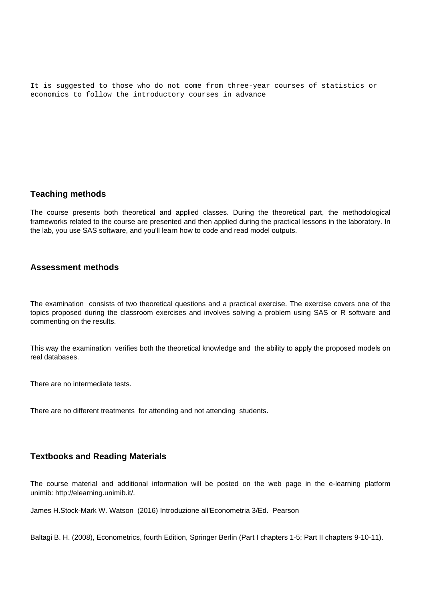It is suggested to those who do not come from three-year courses of statistics or economics to follow the introductory courses in advance

#### **Teaching methods**

The course presents both theoretical and applied classes. During the theoretical part, the methodological frameworks related to the course are presented and then applied during the practical lessons in the laboratory. In the lab, you use SAS software, and you'll learn how to code and read model outputs.

#### **Assessment methods**

The examination consists of two theoretical questions and a practical exercise. The exercise covers one of the topics proposed during the classroom exercises and involves solving a problem using SAS or R software and commenting on the results.

This way the examination verifies both the theoretical knowledge and the ability to apply the proposed models on real databases.

There are no intermediate tests.

There are no different treatments for attending and not attending students.

#### **Textbooks and Reading Materials**

The course material and additional information will be posted on the web page in the e-learning platform unimib: http://elearning.unimib.it/.

James H.Stock-Mark W. Watson (2016) Introduzione all'Econometria 3/Ed. Pearson

Baltagi B. H. (2008), Econometrics, fourth Edition, Springer Berlin (Part I chapters 1-5; Part II chapters 9-10-11).